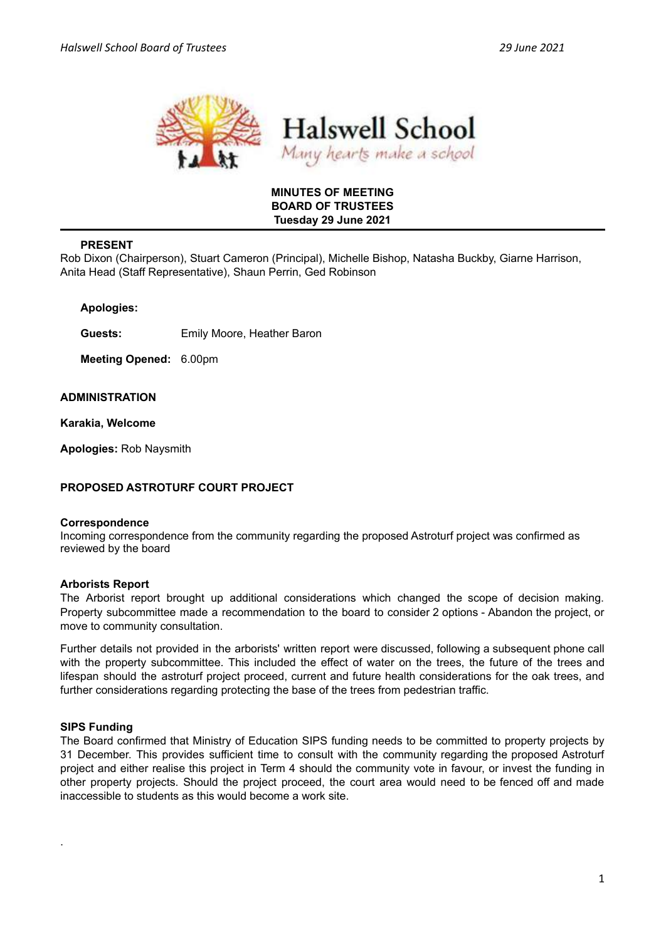

## **MINUTES OF MEETING BOARD OF TRUSTEES Tuesday 29 June 2021**

# **PRESENT**

Rob Dixon (Chairperson), Stuart Cameron (Principal), Michelle Bishop, Natasha Buckby, Giarne Harrison, Anita Head (Staff Representative), Shaun Perrin, Ged Robinson

**Apologies:**

**Guests:** Emily Moore, Heather Baron

**Meeting Opened:** 6.00pm

#### **ADMINISTRATION**

**Karakia, Welcome**

**Apologies:** Rob Naysmith

## **PROPOSED ASTROTURF COURT PROJECT**

#### **Correspondence**

Incoming correspondence from the community regarding the proposed Astroturf project was confirmed as reviewed by the board

## **Arborists Report**

The Arborist report brought up additional considerations which changed the scope of decision making. Property subcommittee made a recommendation to the board to consider 2 options - Abandon the project, or move to community consultation.

Further details not provided in the arborists' written report were discussed, following a subsequent phone call with the property subcommittee. This included the effect of water on the trees, the future of the trees and lifespan should the astroturf project proceed, current and future health considerations for the oak trees, and further considerations regarding protecting the base of the trees from pedestrian traffic.

## **SIPS Funding**

.

The Board confirmed that Ministry of Education SIPS funding needs to be committed to property projects by 31 December. This provides sufficient time to consult with the community regarding the proposed Astroturf project and either realise this project in Term 4 should the community vote in favour, or invest the funding in other property projects. Should the project proceed, the court area would need to be fenced off and made inaccessible to students as this would become a work site.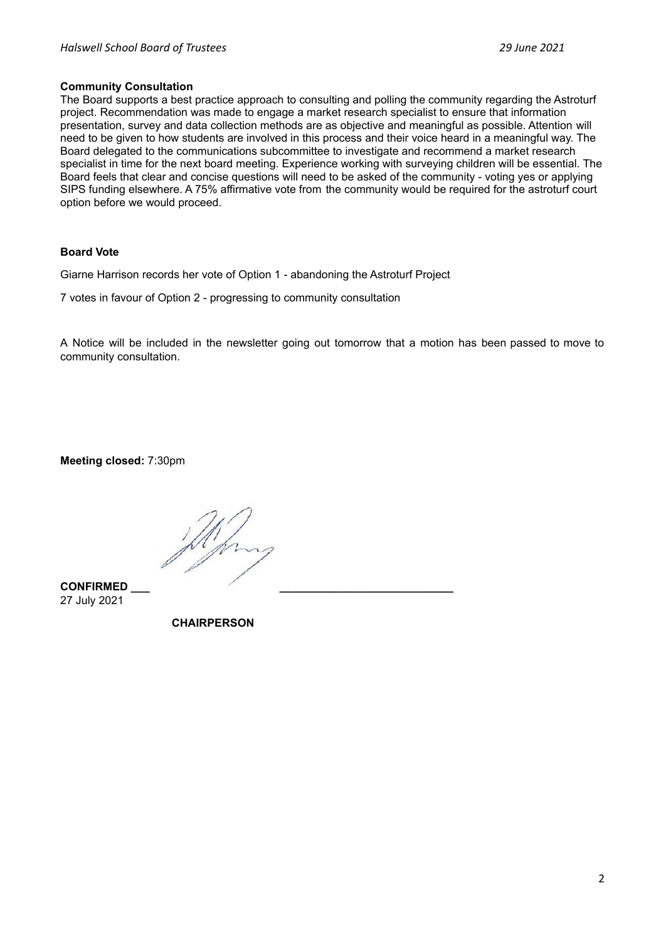#### **Community Consultation**

The Board supports a best practice approach to consulting and polling the community regarding the Astroturf project. Recommendation was made to engage a market research specialist to ensure that information presentation, survey and data collection methods are as objective and meaningful as possible. Attention will need to be given to how students are involved in this process and their voice heard in a meaningful way. The Board delegated to the communications subcommittee to investigate and recommend a market research specialist in time for the next board meeting. Experience working with surveying children will be essential. The Board feels that clear and concise questions will need to be asked of the community - voting yes or applying SIPS funding elsewhere. A 75% affirmative vote from the community would be required for the astroturf court option before we would proceed.

## **Board Vote**

Giarne Harrison records her vote of Option 1 - abandoning the Astroturf Project

7 votes in favour of Option 2 - progressing to community consultation

A Notice will be included in the newsletter going out tomorrow that a motion has been passed to move to community consultation.

**Meeting closed:** 7:30pm

**CONFIRMED \_\_\_ \_\_\_\_\_\_\_\_\_\_\_\_\_\_\_\_\_\_\_\_\_\_\_\_\_\_\_\_** 27 July 2021

**CHAIRPERSON**